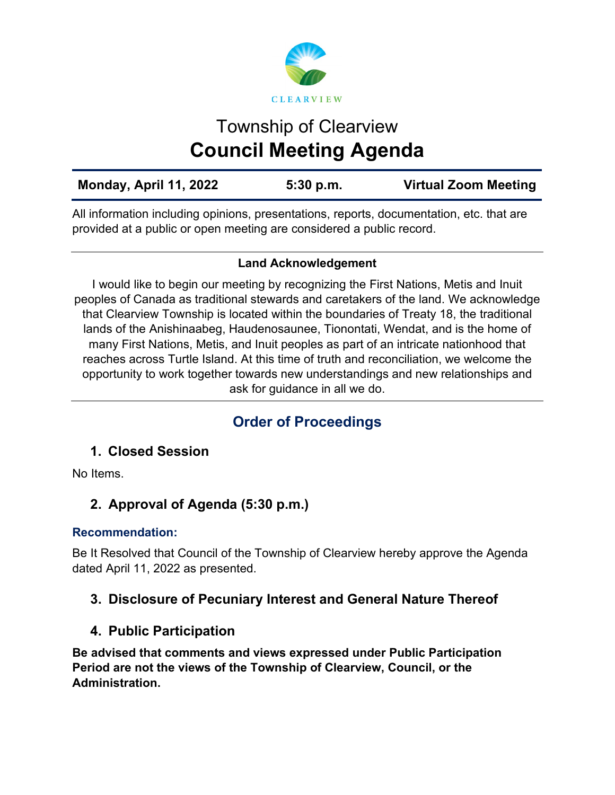

# Township of Clearview **Council Meeting Agenda**

| Monday, April 11, 2022 | 5:30 p.m. | <b>Virtual Zoom Meeting</b> |
|------------------------|-----------|-----------------------------|
|                        |           |                             |

All information including opinions, presentations, reports, documentation, etc. that are provided at a public or open meeting are considered a public record.

# **Land Acknowledgement**

I would like to begin our meeting by recognizing the First Nations, Metis and Inuit peoples of Canada as traditional stewards and caretakers of the land. We acknowledge that Clearview Township is located within the boundaries of Treaty 18, the traditional lands of the Anishinaabeg, Haudenosaunee, Tionontati, Wendat, and is the home of many First Nations, Metis, and Inuit peoples as part of an intricate nationhood that reaches across Turtle Island. At this time of truth and reconciliation, we welcome the opportunity to work together towards new understandings and new relationships and ask for guidance in all we do.

# **Order of Proceedings**

# **1. Closed Session**

No Items.

# **2. Approval of Agenda (5:30 p.m.)**

# **Recommendation:**

Be It Resolved that Council of the Township of Clearview hereby approve the Agenda dated April 11, 2022 as presented.

# **3. Disclosure of Pecuniary Interest and General Nature Thereof**

# **4. Public Participation**

**Be advised that comments and views expressed under Public Participation Period are not the views of the Township of Clearview, Council, or the Administration.**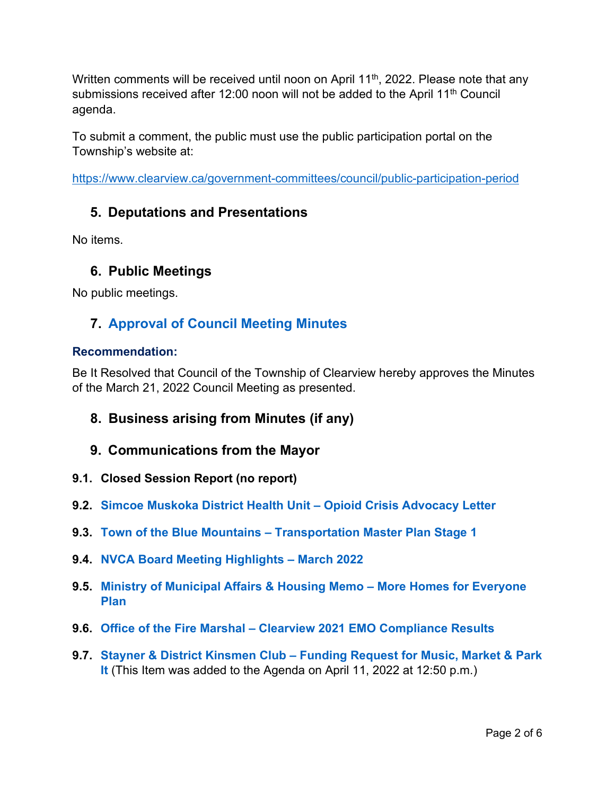Written comments will be received until noon on April  $11<sup>th</sup>$ , 2022. Please note that any submissions received after 12:00 noon will not be added to the April 11<sup>th</sup> Council agenda.

To submit a comment, the public must use the public participation portal on the Township's website at:

<https://www.clearview.ca/government-committees/council/public-participation-period>

# **5. Deputations and Presentations**

No items.

# **6. Public Meetings**

No public meetings.

# **7. [Approval of Council Meeting Minutes](https://www.clearview.ca/sites/default/files/uploads/publications/2022-03-21_council_meeting_minutes.pdf)**

#### **Recommendation:**

Be It Resolved that Council of the Township of Clearview hereby approves the Minutes of the March 21, 2022 Council Meeting as presented.

- **8. Business arising from Minutes (if any)**
- **9. Communications from the Mayor**
- **9.1. Closed Session Report (no report)**
- **9.2. [Simcoe Muskoka District Health Unit Opioid Crisis Advocacy Letter](https://www.clearview.ca/sites/default/files/uploads/publications/9.2_smdhu_opioid_crisis_advocacy_letter.pdf)**
- **9.3. [Town of the Blue Mountains Transportation Master Plan Stage 1](https://www.clearview.ca/sites/default/files/uploads/publications/9.3_town_of_the_blue_mountains_-_transportation_master_plan_stage_1.pdf)**
- **9.4. [NVCA Board Meeting Highlights March 2022](https://www.clearview.ca/sites/default/files/uploads/publications/9.4_nvca_board_meeting_highlights_-_march_2022.pdf)**
- **9.5. [Ministry of Municipal Affairs & Housing Memo More Homes for Everyone](https://www.clearview.ca/sites/default/files/uploads/publications/9.5_mmah_memo_-_more_homes_for_everyone_plan.pdf)  [Plan](https://www.clearview.ca/sites/default/files/uploads/publications/9.5_mmah_memo_-_more_homes_for_everyone_plan.pdf)**
- **9.6. [Office of the Fire Marshal Clearview 2021 EMO Compliance Results](https://www.clearview.ca/sites/default/files/uploads/publications/9.6_office_of_the_fire_marshal_-_clearview_2021_emo_compliance_results.pdf)**
- **9.7. [Stayner & District Kinsmen Club Funding Request for Music, Market & Park](https://www.clearview.ca/sites/default/files/uploads/publications/9.7_stayner_kinsmen_club_-_funding_request_for_music_market_park_it.pdf)  [It](https://www.clearview.ca/sites/default/files/uploads/publications/9.7_stayner_kinsmen_club_-_funding_request_for_music_market_park_it.pdf)** (This Item was added to the Agenda on April 11, 2022 at 12:50 p.m.)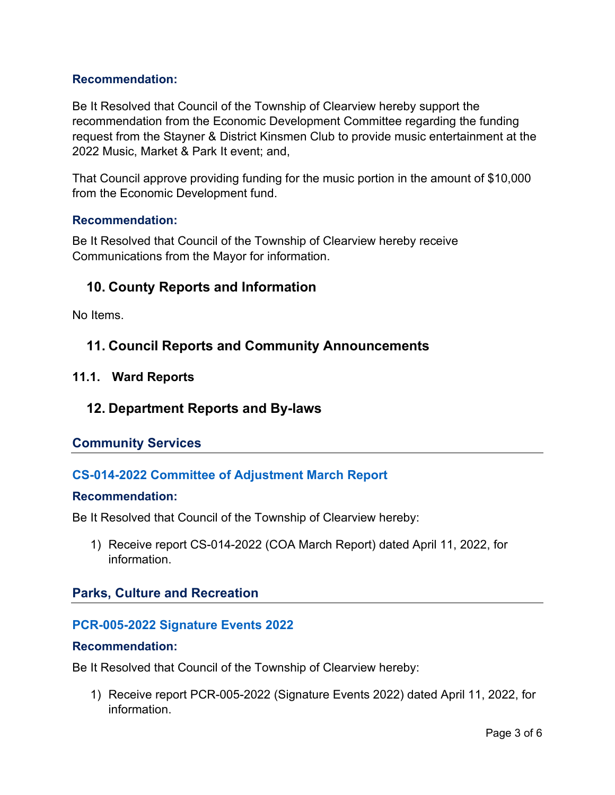#### **Recommendation:**

Be It Resolved that Council of the Township of Clearview hereby support the recommendation from the Economic Development Committee regarding the funding request from the Stayner & District Kinsmen Club to provide music entertainment at the 2022 Music, Market & Park It event; and,

That Council approve providing funding for the music portion in the amount of \$10,000 from the Economic Development fund.

#### **Recommendation:**

Be It Resolved that Council of the Township of Clearview hereby receive Communications from the Mayor for information.

# **10. County Reports and Information**

No Items.

# **11. Council Reports and Community Announcements**

#### **11.1. Ward Reports**

# **12. Department Reports and By-laws**

# **Community Services**

# **CS-014-2022 [Committee of Adjustment March Report](https://www.clearview.ca/sites/default/files/uploads/publications/cs-014-2022_march_2022_coa_report.pdf)**

#### **Recommendation:**

Be It Resolved that Council of the Township of Clearview hereby:

1) Receive report CS-014-2022 (COA March Report) dated April 11, 2022, for information.

# **Parks, Culture and Recreation**

#### **[PCR-005-2022 Signature Events 2022](https://www.clearview.ca/sites/default/files/uploads/publications/pcr-005-2022_-_signature_events_2022.pdf)**

#### **Recommendation:**

Be It Resolved that Council of the Township of Clearview hereby:

1) Receive report PCR-005-2022 (Signature Events 2022) dated April 11, 2022, for information.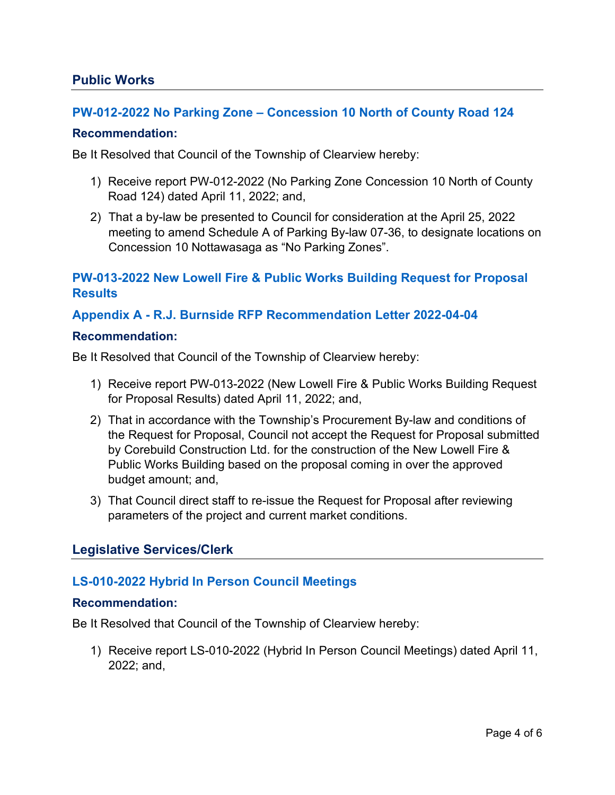#### **Public Works**

#### **[PW-012-2022 No Parking Zone – Concession 10 North of County Road 124](https://www.clearview.ca/sites/default/files/uploads/publications/pw-012-2022_-_no_parking_zone_concession_10_north_of_county_road_124.pdf)**

#### **Recommendation:**

Be It Resolved that Council of the Township of Clearview hereby:

- 1) Receive report PW-012-2022 (No Parking Zone Concession 10 North of County Road 124) dated April 11, 2022; and,
- 2) That a by-law be presented to Council for consideration at the April 25, 2022 meeting to amend Schedule A of Parking By-law 07-36, to designate locations on Concession 10 Nottawasaga as "No Parking Zones".

# **[PW-013-2022 New Lowell Fire & Public Works Building](https://www.clearview.ca/sites/default/files/uploads/publications/pw-013-2022_new_lowell_fire_pw_building_tender_1.pdf) Request for Proposal [Results](https://www.clearview.ca/sites/default/files/uploads/publications/pw-013-2022_new_lowell_fire_pw_building_tender_1.pdf)**

**[Appendix A - R.J. Burnside RFP Recommendation Letter 2022-04-04](https://www.clearview.ca/sites/default/files/uploads/publications/appendix_a_-_r.j._burnside_rfp_recommendation_letter_2022-04-04.pdf)**

#### **Recommendation:**

Be It Resolved that Council of the Township of Clearview hereby:

- 1) Receive report PW-013-2022 (New Lowell Fire & Public Works Building Request for Proposal Results) dated April 11, 2022; and,
- 2) That in accordance with the Township's Procurement By-law and conditions of the Request for Proposal, Council not accept the Request for Proposal submitted by Corebuild Construction Ltd. for the construction of the New Lowell Fire & Public Works Building based on the proposal coming in over the approved budget amount; and,
- 3) That Council direct staff to re-issue the Request for Proposal after reviewing parameters of the project and current market conditions.

# **Legislative Services/Clerk**

#### **[LS-010-2022 Hybrid In Person Council Meetings](https://www.clearview.ca/sites/default/files/uploads/publications/ls-010-2022_hybrid_in_person_council_meetings.pdf)**

#### **Recommendation:**

Be It Resolved that Council of the Township of Clearview hereby:

1) Receive report LS-010-2022 (Hybrid In Person Council Meetings) dated April 11, 2022; and,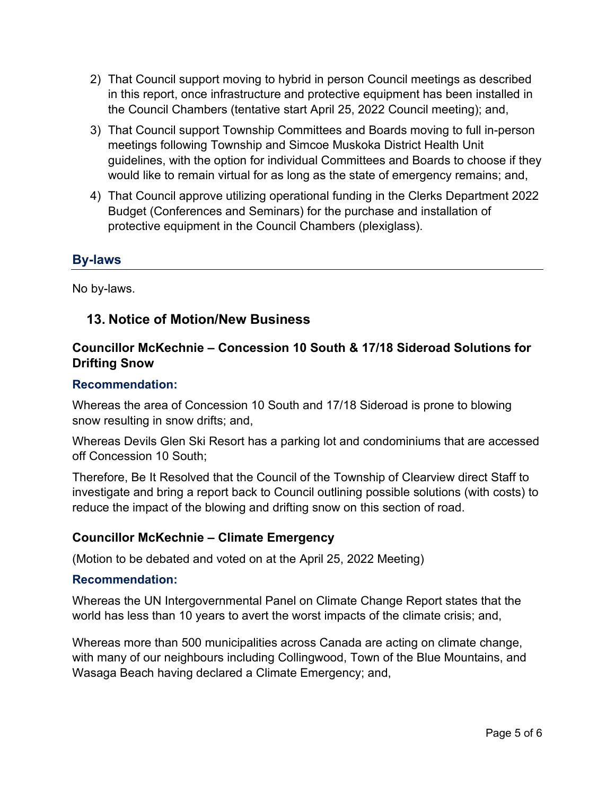- 2) That Council support moving to hybrid in person Council meetings as described in this report, once infrastructure and protective equipment has been installed in the Council Chambers (tentative start April 25, 2022 Council meeting); and,
- 3) That Council support Township Committees and Boards moving to full in-person meetings following Township and Simcoe Muskoka District Health Unit guidelines, with the option for individual Committees and Boards to choose if they would like to remain virtual for as long as the state of emergency remains; and,
- 4) That Council approve utilizing operational funding in the Clerks Department 2022 Budget (Conferences and Seminars) for the purchase and installation of protective equipment in the Council Chambers (plexiglass).

# **By-laws**

No by-laws.

# **13. Notice of Motion/New Business**

# **Councillor McKechnie – Concession 10 South & 17/18 Sideroad Solutions for Drifting Snow**

#### **Recommendation:**

Whereas the area of Concession 10 South and 17/18 Sideroad is prone to blowing snow resulting in snow drifts; and,

Whereas Devils Glen Ski Resort has a parking lot and condominiums that are accessed off Concession 10 South;

Therefore, Be It Resolved that the Council of the Township of Clearview direct Staff to investigate and bring a report back to Council outlining possible solutions (with costs) to reduce the impact of the blowing and drifting snow on this section of road.

# **Councillor McKechnie – Climate Emergency**

(Motion to be debated and voted on at the April 25, 2022 Meeting)

#### **Recommendation:**

Whereas the UN Intergovernmental Panel on Climate Change Report states that the world has less than 10 years to avert the worst impacts of the climate crisis; and,

Whereas more than 500 municipalities across Canada are acting on climate change, with many of our neighbours including Collingwood, Town of the Blue Mountains, and Wasaga Beach having declared a Climate Emergency; and,